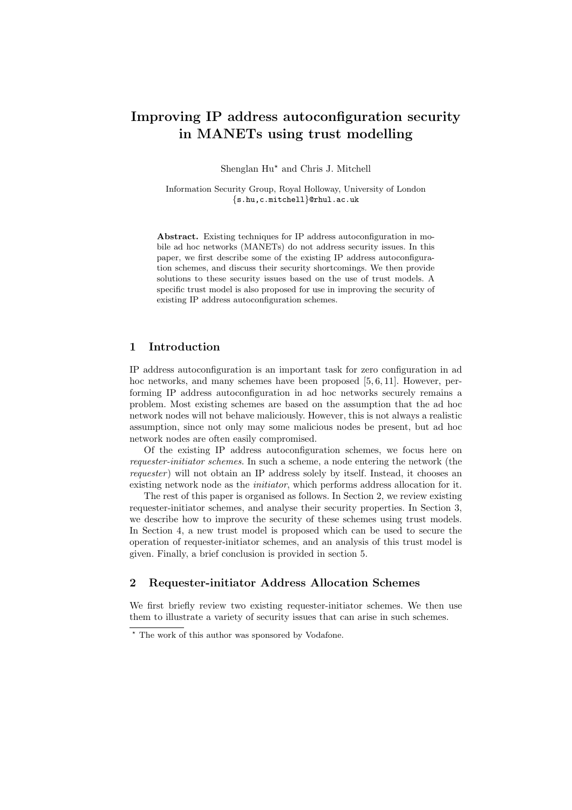Shenglan Hu? and Chris J. Mitchell

Information Security Group, Royal Holloway, University of London {s.hu,c.mitchell}@rhul.ac.uk

Abstract. Existing techniques for IP address autoconfiguration in mobile ad hoc networks (MANETs) do not address security issues. In this paper, we first describe some of the existing IP address autoconfiguration schemes, and discuss their security shortcomings. We then provide solutions to these security issues based on the use of trust models. A specific trust model is also proposed for use in improving the security of existing IP address autoconfiguration schemes.

## 1 Introduction

IP address autoconfiguration is an important task for zero configuration in ad hoc networks, and many schemes have been proposed [5, 6, 11]. However, performing IP address autoconfiguration in ad hoc networks securely remains a problem. Most existing schemes are based on the assumption that the ad hoc network nodes will not behave maliciously. However, this is not always a realistic assumption, since not only may some malicious nodes be present, but ad hoc network nodes are often easily compromised.

Of the existing IP address autoconfiguration schemes, we focus here on requester-initiator schemes. In such a scheme, a node entering the network (the requester) will not obtain an IP address solely by itself. Instead, it chooses an existing network node as the *initiator*, which performs address allocation for it.

The rest of this paper is organised as follows. In Section 2, we review existing requester-initiator schemes, and analyse their security properties. In Section 3, we describe how to improve the security of these schemes using trust models. In Section 4, a new trust model is proposed which can be used to secure the operation of requester-initiator schemes, and an analysis of this trust model is given. Finally, a brief conclusion is provided in section 5.

## 2 Requester-initiator Address Allocation Schemes

We first briefly review two existing requester-initiator schemes. We then use them to illustrate a variety of security issues that can arise in such schemes.

<sup>?</sup> The work of this author was sponsored by Vodafone.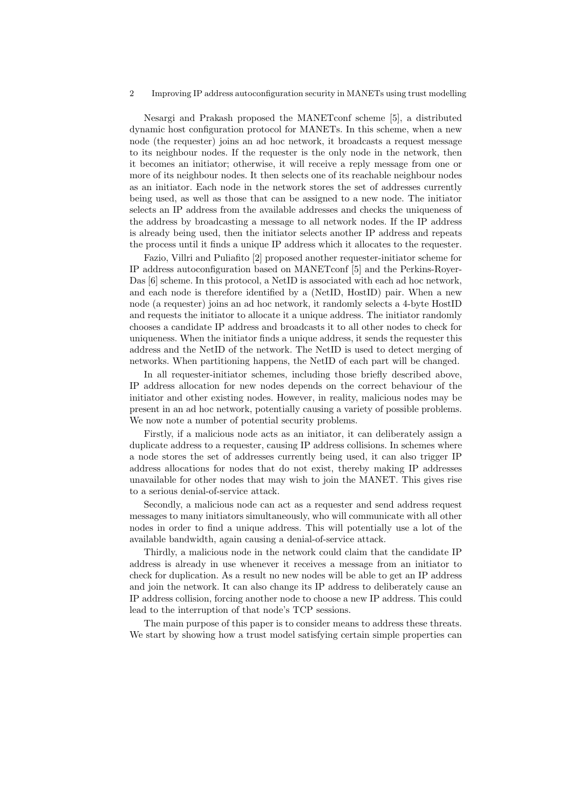Nesargi and Prakash proposed the MANETconf scheme [5], a distributed dynamic host configuration protocol for MANETs. In this scheme, when a new node (the requester) joins an ad hoc network, it broadcasts a request message to its neighbour nodes. If the requester is the only node in the network, then it becomes an initiator; otherwise, it will receive a reply message from one or more of its neighbour nodes. It then selects one of its reachable neighbour nodes as an initiator. Each node in the network stores the set of addresses currently being used, as well as those that can be assigned to a new node. The initiator selects an IP address from the available addresses and checks the uniqueness of the address by broadcasting a message to all network nodes. If the IP address is already being used, then the initiator selects another IP address and repeats the process until it finds a unique IP address which it allocates to the requester.

Fazio, Villri and Puliafito [2] proposed another requester-initiator scheme for IP address autoconfiguration based on MANETconf [5] and the Perkins-Royer-Das [6] scheme. In this protocol, a NetID is associated with each ad hoc network, and each node is therefore identified by a (NetID, HostID) pair. When a new node (a requester) joins an ad hoc network, it randomly selects a 4-byte HostID and requests the initiator to allocate it a unique address. The initiator randomly chooses a candidate IP address and broadcasts it to all other nodes to check for uniqueness. When the initiator finds a unique address, it sends the requester this address and the NetID of the network. The NetID is used to detect merging of networks. When partitioning happens, the NetID of each part will be changed.

In all requester-initiator schemes, including those briefly described above, IP address allocation for new nodes depends on the correct behaviour of the initiator and other existing nodes. However, in reality, malicious nodes may be present in an ad hoc network, potentially causing a variety of possible problems. We now note a number of potential security problems.

Firstly, if a malicious node acts as an initiator, it can deliberately assign a duplicate address to a requester, causing IP address collisions. In schemes where a node stores the set of addresses currently being used, it can also trigger IP address allocations for nodes that do not exist, thereby making IP addresses unavailable for other nodes that may wish to join the MANET. This gives rise to a serious denial-of-service attack.

Secondly, a malicious node can act as a requester and send address request messages to many initiators simultaneously, who will communicate with all other nodes in order to find a unique address. This will potentially use a lot of the available bandwidth, again causing a denial-of-service attack.

Thirdly, a malicious node in the network could claim that the candidate IP address is already in use whenever it receives a message from an initiator to check for duplication. As a result no new nodes will be able to get an IP address and join the network. It can also change its IP address to deliberately cause an IP address collision, forcing another node to choose a new IP address. This could lead to the interruption of that node's TCP sessions.

The main purpose of this paper is to consider means to address these threats. We start by showing how a trust model satisfying certain simple properties can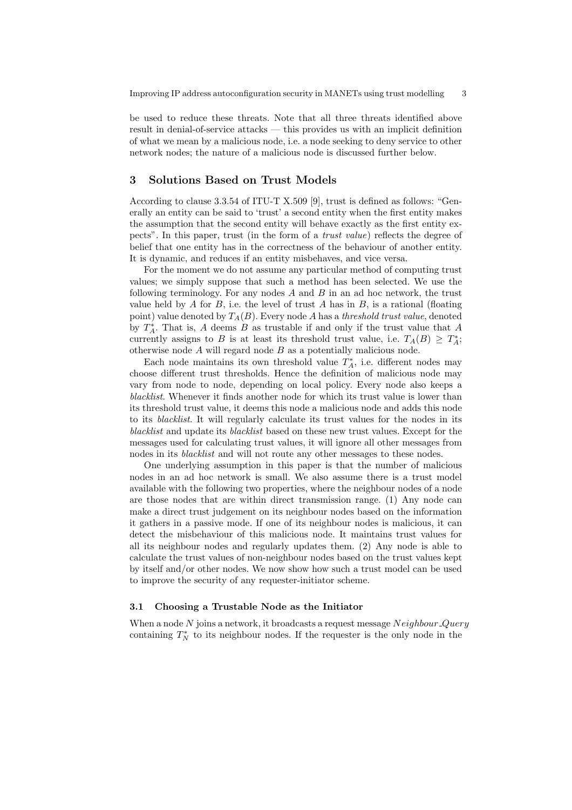be used to reduce these threats. Note that all three threats identified above result in denial-of-service attacks — this provides us with an implicit definition of what we mean by a malicious node, i.e. a node seeking to deny service to other network nodes; the nature of a malicious node is discussed further below.

## 3 Solutions Based on Trust Models

According to clause 3.3.54 of ITU-T X.509 [9], trust is defined as follows: "Generally an entity can be said to 'trust' a second entity when the first entity makes the assumption that the second entity will behave exactly as the first entity expects". In this paper, trust (in the form of a trust value) reflects the degree of belief that one entity has in the correctness of the behaviour of another entity. It is dynamic, and reduces if an entity misbehaves, and vice versa.

For the moment we do not assume any particular method of computing trust values; we simply suppose that such a method has been selected. We use the following terminology. For any nodes  $A$  and  $B$  in an ad hoc network, the trust value held by A for B, i.e. the level of trust A has in B, is a rational (floating point) value denoted by  $T_A(B)$ . Every node A has a threshold trust value, denoted by  $T_A^*$ . That is, A deems B as trustable if and only if the trust value that A currently assigns to B is at least its threshold trust value, i.e.  $T_A(B) \geq T_A^*$ ; otherwise node  $A$  will regard node  $B$  as a potentially malicious node.

Each node maintains its own threshold value  $T_A^*$ , i.e. different nodes may choose different trust thresholds. Hence the definition of malicious node may vary from node to node, depending on local policy. Every node also keeps a blacklist. Whenever it finds another node for which its trust value is lower than its threshold trust value, it deems this node a malicious node and adds this node to its blacklist. It will regularly calculate its trust values for the nodes in its blacklist and update its blacklist based on these new trust values. Except for the messages used for calculating trust values, it will ignore all other messages from nodes in its blacklist and will not route any other messages to these nodes.

One underlying assumption in this paper is that the number of malicious nodes in an ad hoc network is small. We also assume there is a trust model available with the following two properties, where the neighbour nodes of a node are those nodes that are within direct transmission range. (1) Any node can make a direct trust judgement on its neighbour nodes based on the information it gathers in a passive mode. If one of its neighbour nodes is malicious, it can detect the misbehaviour of this malicious node. It maintains trust values for all its neighbour nodes and regularly updates them. (2) Any node is able to calculate the trust values of non-neighbour nodes based on the trust values kept by itself and/or other nodes. We now show how such a trust model can be used to improve the security of any requester-initiator scheme.

#### 3.1 Choosing a Trustable Node as the Initiator

When a node N joins a network, it broadcasts a request message  $Neighbour$ -Query containing  $T_N^*$  to its neighbour nodes. If the requester is the only node in the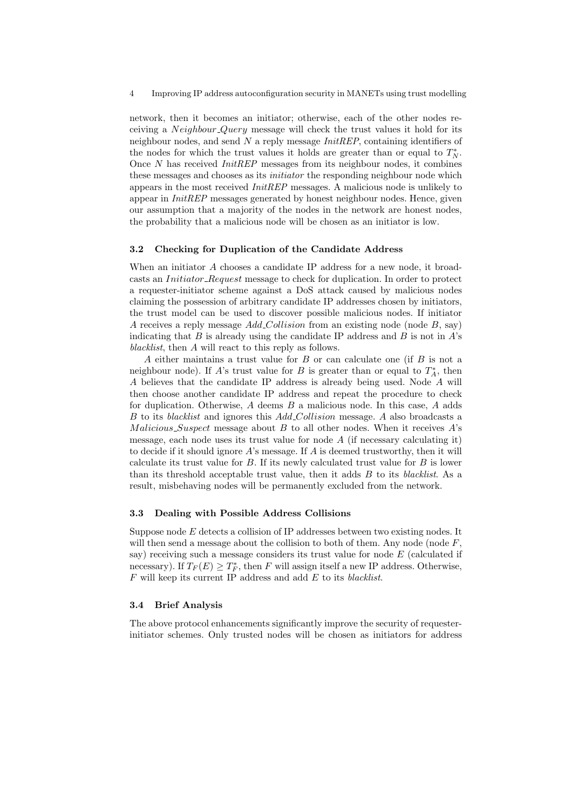network, then it becomes an initiator; otherwise, each of the other nodes receiving a Neighbour Query message will check the trust values it hold for its neighbour nodes, and send  $N$  a reply message  $InitREF$ , containing identifiers of the nodes for which the trust values it holds are greater than or equal to  $T_N^*$ . Once  $N$  has received  $InitREF$  messages from its neighbour nodes, it combines these messages and chooses as its *initiator* the responding neighbour node which appears in the most received InitREP messages. A malicious node is unlikely to appear in InitREP messages generated by honest neighbour nodes. Hence, given our assumption that a majority of the nodes in the network are honest nodes, the probability that a malicious node will be chosen as an initiator is low.

#### 3.2 Checking for Duplication of the Candidate Address

When an initiator A chooses a candidate IP address for a new node, it broadcasts an *Initiator\_Request* message to check for duplication. In order to protect a requester-initiator scheme against a DoS attack caused by malicious nodes claiming the possession of arbitrary candidate IP addresses chosen by initiators, the trust model can be used to discover possible malicious nodes. If initiator A receives a reply message  $Add\_Collision$  from an existing node (node  $B$ , say) indicating that B is already using the candidate IP address and B is not in  $A$ 's blacklist, then A will react to this reply as follows.

A either maintains a trust value for B or can calculate one (if B is not a neighbour node). If A's trust value for B is greater than or equal to  $T_A^*$ , then A believes that the candidate IP address is already being used. Node A will then choose another candidate IP address and repeat the procedure to check for duplication. Otherwise,  $A$  deems  $B$  a malicious node. In this case,  $A$  adds B to its blacklist and ignores this Add Collision message. A also broadcasts a *Malicious Suspect* message about B to all other nodes. When it receives  $A$ 's message, each node uses its trust value for node  $A$  (if necessary calculating it) to decide if it should ignore A's message. If A is deemed trustworthy, then it will calculate its trust value for  $B$ . If its newly calculated trust value for  $B$  is lower than its threshold acceptable trust value, then it adds  $B$  to its *blacklist*. As a result, misbehaving nodes will be permanently excluded from the network.

#### 3.3 Dealing with Possible Address Collisions

Suppose node E detects a collision of IP addresses between two existing nodes. It will then send a message about the collision to both of them. Any node (node  $F$ , say) receiving such a message considers its trust value for node  $E$  (calculated if necessary). If  $T_F(E) \geq T_F^*$ , then F will assign itself a new IP address. Otherwise,  $F$  will keep its current IP address and add  $E$  to its blacklist.

#### 3.4 Brief Analysis

The above protocol enhancements significantly improve the security of requesterinitiator schemes. Only trusted nodes will be chosen as initiators for address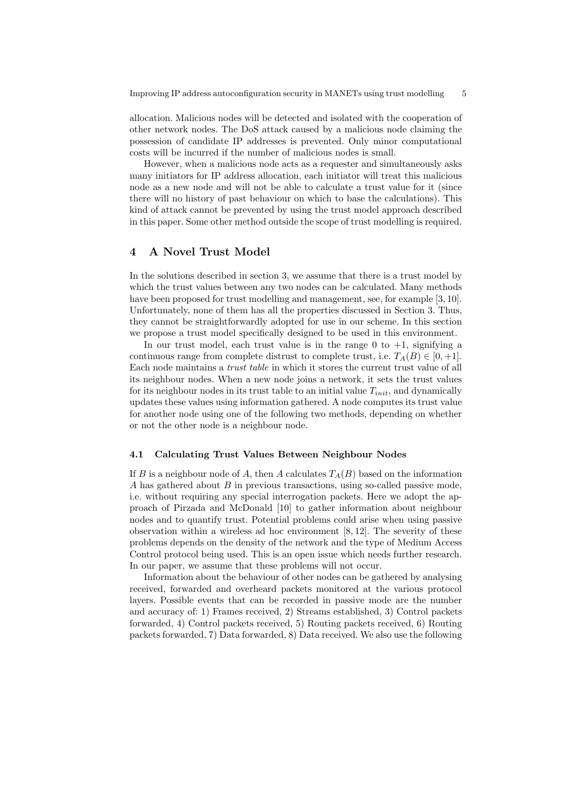allocation. Malicious nodes will be detected and isolated with the cooperation of other network nodes. The DoS attack caused by a malicious node claiming the possession of candidate IP addresses is prevented. Only minor computational costs will be incurred if the number of malicious nodes is small.

However, when a malicious node acts as a requester and simultaneously asks many initiators for IP address allocation, each initiator will treat this malicious node as a new node and will not be able to calculate a trust value for it (since there will no history of past behaviour on which to base the calculations). This kind of attack cannot be prevented by using the trust model approach described in this paper. Some other method outside the scope of trust modelling is required.

# 4 A Novel Trust Model

In the solutions described in section 3, we assume that there is a trust model by which the trust values between any two nodes can be calculated. Many methods have been proposed for trust modelling and management, see, for example [3, 10]. Unfortunately, none of them has all the properties discussed in Section 3. Thus, they cannot be straightforwardly adopted for use in our scheme. In this section we propose a trust model specifically designed to be used in this environment.

In our trust model, each trust value is in the range 0 to  $+1$ , signifying a continuous range from complete distrust to complete trust, i.e.  $T_A(B) \in [0, +1]$ . Each node maintains a trust table in which it stores the current trust value of all its neighbour nodes. When a new node joins a network, it sets the trust values for its neighbour nodes in its trust table to an initial value  $T_{init}$ , and dynamically updates these values using information gathered. A node computes its trust value for another node using one of the following two methods, depending on whether or not the other node is a neighbour node.

#### 4.1 Calculating Trust Values Between Neighbour Nodes

If B is a neighbour node of A, then A calculates  $T_A(B)$  based on the information A has gathered about B in previous transactions, using so-called passive mode, i.e. without requiring any special interrogation packets. Here we adopt the approach of Pirzada and McDonald [10] to gather information about neighbour nodes and to quantify trust. Potential problems could arise when using passive observation within a wireless ad hoc environment [8, 12]. The severity of these problems depends on the density of the network and the type of Medium Access Control protocol being used. This is an open issue which needs further research. In our paper, we assume that these problems will not occur.

Information about the behaviour of other nodes can be gathered by analysing received, forwarded and overheard packets monitored at the various protocol layers. Possible events that can be recorded in passive mode are the number and accuracy of: 1) Frames received, 2) Streams established, 3) Control packets forwarded, 4) Control packets received, 5) Routing packets received, 6) Routing packets forwarded, 7) Data forwarded, 8) Data received. We also use the following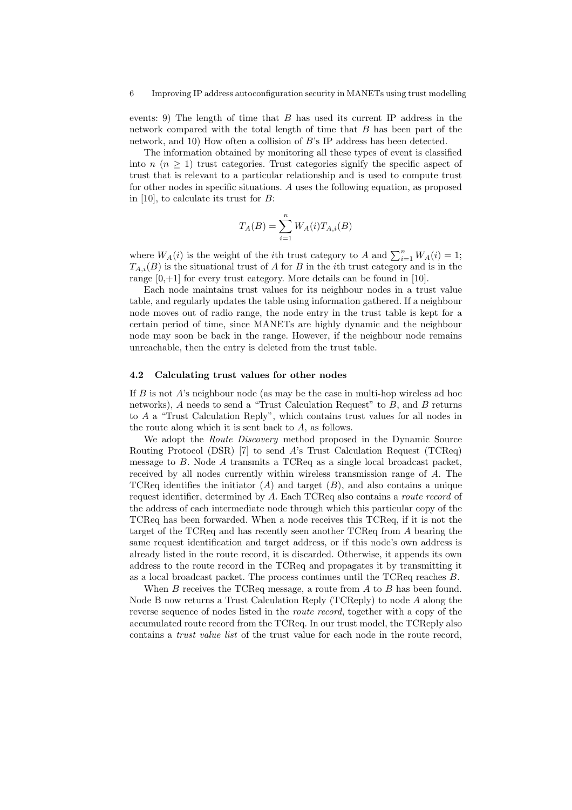events: 9) The length of time that  $B$  has used its current IP address in the network compared with the total length of time that B has been part of the network, and 10) How often a collision of B's IP address has been detected.

The information obtained by monitoring all these types of event is classified into  $n(n \geq 1)$  trust categories. Trust categories signify the specific aspect of trust that is relevant to a particular relationship and is used to compute trust for other nodes in specific situations. A uses the following equation, as proposed in [10], to calculate its trust for  $B$ :

$$
T_A(B) = \sum_{i=1}^n W_A(i) T_{A,i}(B)
$$

where  $W_A(i)$  is the weight of the *i*th trust category to A and  $\sum_{i=1}^n W_A(i) = 1$ ;  $T_{A,i}(B)$  is the situational trust of A for B in the *i*th trust category and is in the range  $[0, +1]$  for every trust category. More details can be found in [10].

Each node maintains trust values for its neighbour nodes in a trust value table, and regularly updates the table using information gathered. If a neighbour node moves out of radio range, the node entry in the trust table is kept for a certain period of time, since MANETs are highly dynamic and the neighbour node may soon be back in the range. However, if the neighbour node remains unreachable, then the entry is deleted from the trust table.

#### 4.2 Calculating trust values for other nodes

If B is not A's neighbour node (as may be the case in multi-hop wireless ad hoc networks),  $A$  needs to send a "Trust Calculation Request" to  $B$ , and  $B$  returns to A a "Trust Calculation Reply", which contains trust values for all nodes in the route along which it is sent back to  $A$ , as follows.

We adopt the *Route Discovery* method proposed in the Dynamic Source Routing Protocol (DSR) [7] to send A's Trust Calculation Request (TCReq) message to B. Node A transmits a TCReq as a single local broadcast packet, received by all nodes currently within wireless transmission range of A. The TCReq identifies the initiator  $(A)$  and target  $(B)$ , and also contains a unique request identifier, determined by A. Each TCReq also contains a route record of the address of each intermediate node through which this particular copy of the TCReq has been forwarded. When a node receives this TCReq, if it is not the target of the TCReq and has recently seen another TCReq from A bearing the same request identification and target address, or if this node's own address is already listed in the route record, it is discarded. Otherwise, it appends its own address to the route record in the TCReq and propagates it by transmitting it as a local broadcast packet. The process continues until the TCReq reaches B.

When  $B$  receives the TCReq message, a route from  $A$  to  $B$  has been found. Node B now returns a Trust Calculation Reply (TCReply) to node A along the reverse sequence of nodes listed in the *route record*, together with a copy of the accumulated route record from the TCReq. In our trust model, the TCReply also contains a trust value list of the trust value for each node in the route record,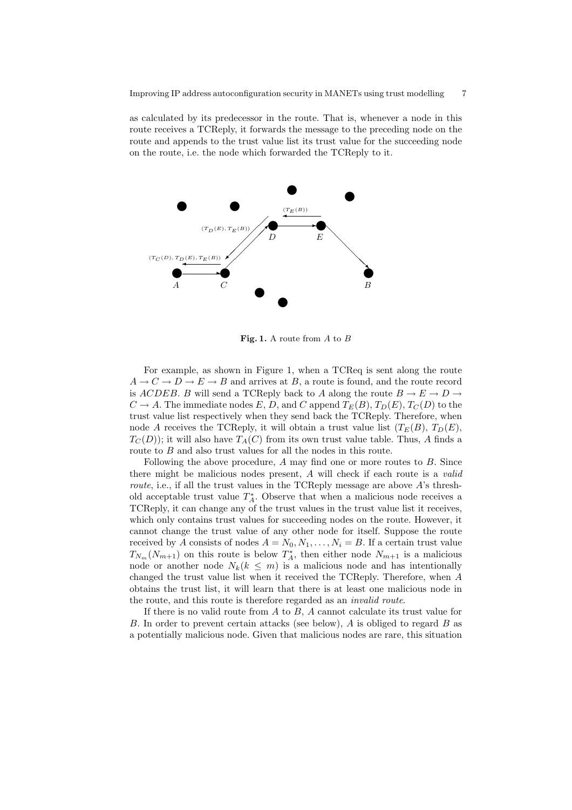as calculated by its predecessor in the route. That is, whenever a node in this route receives a TCReply, it forwards the message to the preceding node on the route and appends to the trust value list its trust value for the succeeding node on the route, i.e. the node which forwarded the TCReply to it.



Fig. 1. A route from  $A$  to  $B$ 

For example, as shown in Figure 1, when a TCReq is sent along the route  $A \to C \to D \to E \to B$  and arrives at B, a route is found, and the route record is ACDEB. B will send a TCReply back to A along the route  $B \to E \to D \to$  $C \to A$ . The immediate nodes E, D, and C append  $T_E(B)$ ,  $T_D(E)$ ,  $T_C(D)$  to the trust value list respectively when they send back the TCReply. Therefore, when node A receives the TCReply, it will obtain a trust value list  $(T_E(B), T_D(E))$ ,  $T<sub>C</sub>(D)$ ; it will also have  $T<sub>A</sub>(C)$  from its own trust value table. Thus, A finds a route to B and also trust values for all the nodes in this route.

Following the above procedure, A may find one or more routes to B. Since there might be malicious nodes present, A will check if each route is a valid route, i.e., if all the trust values in the TCReply message are above A's threshold acceptable trust value  $T_A^*$ . Observe that when a malicious node receives a TCReply, it can change any of the trust values in the trust value list it receives, which only contains trust values for succeeding nodes on the route. However, it cannot change the trust value of any other node for itself. Suppose the route received by A consists of nodes  $A = N_0, N_1, \ldots, N_i = B$ . If a certain trust value  $T_{N_m}(N_{m+1})$  on this route is below  $T_A^*$ , then either node  $N_{m+1}$  is a malicious node or another node  $N_k(k \leq m)$  is a malicious node and has intentionally changed the trust value list when it received the TCReply. Therefore, when A obtains the trust list, it will learn that there is at least one malicious node in the route, and this route is therefore regarded as an invalid route.

If there is no valid route from  $A$  to  $B$ ,  $A$  cannot calculate its trust value for B. In order to prevent certain attacks (see below), A is obliged to regard B as a potentially malicious node. Given that malicious nodes are rare, this situation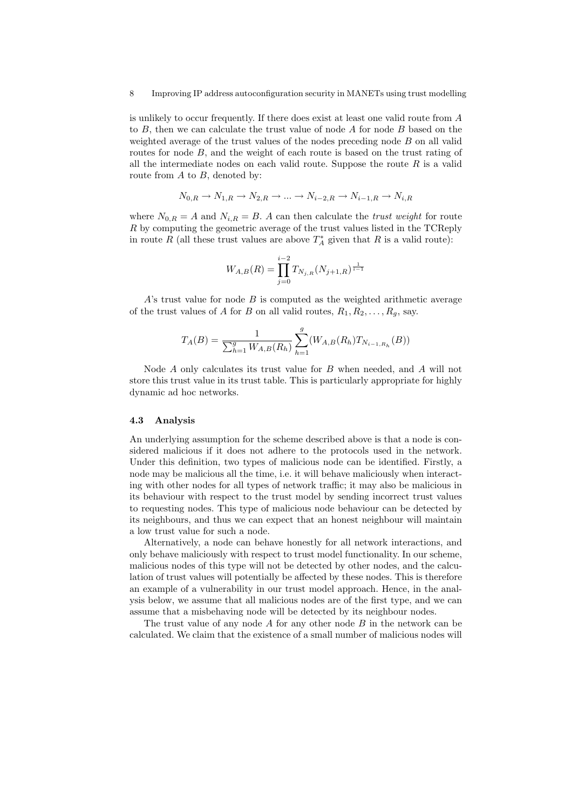is unlikely to occur frequently. If there does exist at least one valid route from A to B, then we can calculate the trust value of node A for node B based on the weighted average of the trust values of the nodes preceding node B on all valid routes for node B, and the weight of each route is based on the trust rating of all the intermediate nodes on each valid route. Suppose the route  $R$  is a valid route from  $A$  to  $B$ , denoted by:

$$
N_{0,R} \to N_{1,R} \to N_{2,R} \to \dots \to N_{i-2,R} \to N_{i-1,R} \to N_{i,R}
$$

where  $N_{0,R} = A$  and  $N_{i,R} = B$ . A can then calculate the *trust weight* for route R by computing the geometric average of the trust values listed in the TCReply in route R (all these trust values are above  $T_A^*$  given that R is a valid route):

$$
W_{A,B}(R)=\prod_{j=0}^{i-2}T_{N_{j,R}}(N_{j+1,R})^{\frac{1}{i-1}}
$$

 $A$ 's trust value for node  $B$  is computed as the weighted arithmetic average of the trust values of A for B on all valid routes,  $R_1, R_2, \ldots, R_q$ , say.

$$
T_A(B) = \frac{1}{\sum_{h=1}^g W_{A,B}(R_h)} \sum_{h=1}^g (W_{A,B}(R_h) T_{N_{i-1},R_h}(B))
$$

Node A only calculates its trust value for B when needed, and A will not store this trust value in its trust table. This is particularly appropriate for highly dynamic ad hoc networks.

#### 4.3 Analysis

An underlying assumption for the scheme described above is that a node is considered malicious if it does not adhere to the protocols used in the network. Under this definition, two types of malicious node can be identified. Firstly, a node may be malicious all the time, i.e. it will behave maliciously when interacting with other nodes for all types of network traffic; it may also be malicious in its behaviour with respect to the trust model by sending incorrect trust values to requesting nodes. This type of malicious node behaviour can be detected by its neighbours, and thus we can expect that an honest neighbour will maintain a low trust value for such a node.

Alternatively, a node can behave honestly for all network interactions, and only behave maliciously with respect to trust model functionality. In our scheme, malicious nodes of this type will not be detected by other nodes, and the calculation of trust values will potentially be affected by these nodes. This is therefore an example of a vulnerability in our trust model approach. Hence, in the analysis below, we assume that all malicious nodes are of the first type, and we can assume that a misbehaving node will be detected by its neighbour nodes.

The trust value of any node  $A$  for any other node  $B$  in the network can be calculated. We claim that the existence of a small number of malicious nodes will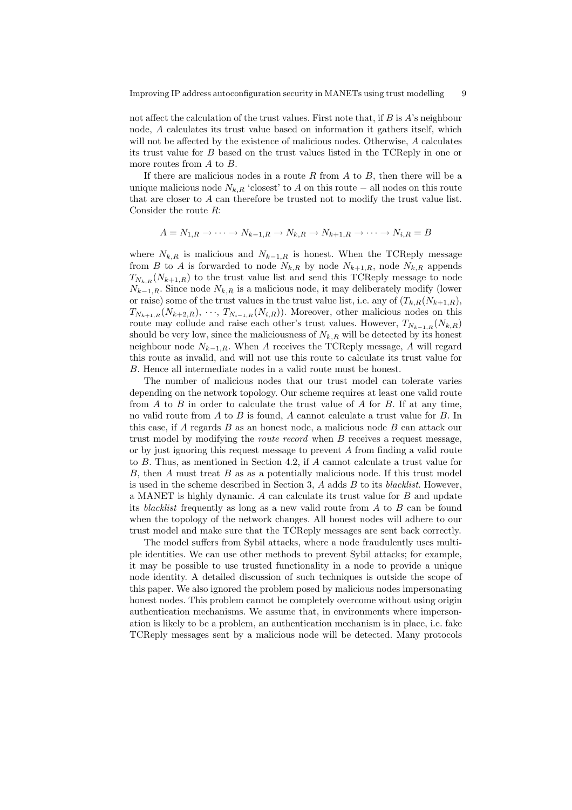not affect the calculation of the trust values. First note that, if B is A's neighbour node, A calculates its trust value based on information it gathers itself, which will not be affected by the existence of malicious nodes. Otherwise, A calculates its trust value for B based on the trust values listed in the TCReply in one or more routes from A to B.

If there are malicious nodes in a route  $R$  from  $A$  to  $B$ , then there will be a unique malicious node  $N_{k,R}$  'closest' to A on this route – all nodes on this route that are closer to A can therefore be trusted not to modify the trust value list. Consider the route R:

$$
A = N_{1,R} \to \cdots \to N_{k-1,R} \to N_{k,R} \to N_{k+1,R} \to \cdots \to N_{i,R} = B
$$

where  $N_{k,R}$  is malicious and  $N_{k-1,R}$  is honest. When the TCReply message from B to A is forwarded to node  $N_{k,R}$  by node  $N_{k+1,R}$ , node  $N_{k,R}$  appends  $T_{N_{k,R}}(N_{k+1,R})$  to the trust value list and send this TCReply message to node  $N_{k-1,R}$ . Since node  $N_{k,R}$  is a malicious node, it may deliberately modify (lower or raise) some of the trust values in the trust value list, i.e. any of  $(T_{k,R}(N_{k+1,R}),$  $T_{N_{k+1,R}}(N_{k+2,R}), \cdots, T_{N_{i-1,R}}(N_{i,R}))$ . Moreover, other malicious nodes on this route may collude and raise each other's trust values. However,  $T_{N_{k-1,R}}(N_{k,R})$ should be very low, since the maliciousness of  $N_{k,R}$  will be detected by its honest neighbour node  $N_{k-1,R}$ . When A receives the TCReply message, A will regard this route as invalid, and will not use this route to calculate its trust value for B. Hence all intermediate nodes in a valid route must be honest.

The number of malicious nodes that our trust model can tolerate varies depending on the network topology. Our scheme requires at least one valid route from  $A$  to  $B$  in order to calculate the trust value of  $A$  for  $B$ . If at any time, no valid route from  $A$  to  $B$  is found,  $A$  cannot calculate a trust value for  $B$ . In this case, if  $A$  regards  $B$  as an honest node, a malicious node  $B$  can attack our trust model by modifying the *route record* when B receives a request message, or by just ignoring this request message to prevent A from finding a valid route to B. Thus, as mentioned in Section 4.2, if A cannot calculate a trust value for  $B$ , then  $A$  must treat  $B$  as as a potentially malicious node. If this trust model is used in the scheme described in Section 3,  $A$  adds  $B$  to its *blacklist*. However, a MANET is highly dynamic. A can calculate its trust value for B and update its blacklist frequently as long as a new valid route from A to B can be found when the topology of the network changes. All honest nodes will adhere to our trust model and make sure that the TCReply messages are sent back correctly.

The model suffers from Sybil attacks, where a node fraudulently uses multiple identities. We can use other methods to prevent Sybil attacks; for example, it may be possible to use trusted functionality in a node to provide a unique node identity. A detailed discussion of such techniques is outside the scope of this paper. We also ignored the problem posed by malicious nodes impersonating honest nodes. This problem cannot be completely overcome without using origin authentication mechanisms. We assume that, in environments where impersonation is likely to be a problem, an authentication mechanism is in place, i.e. fake TCReply messages sent by a malicious node will be detected. Many protocols